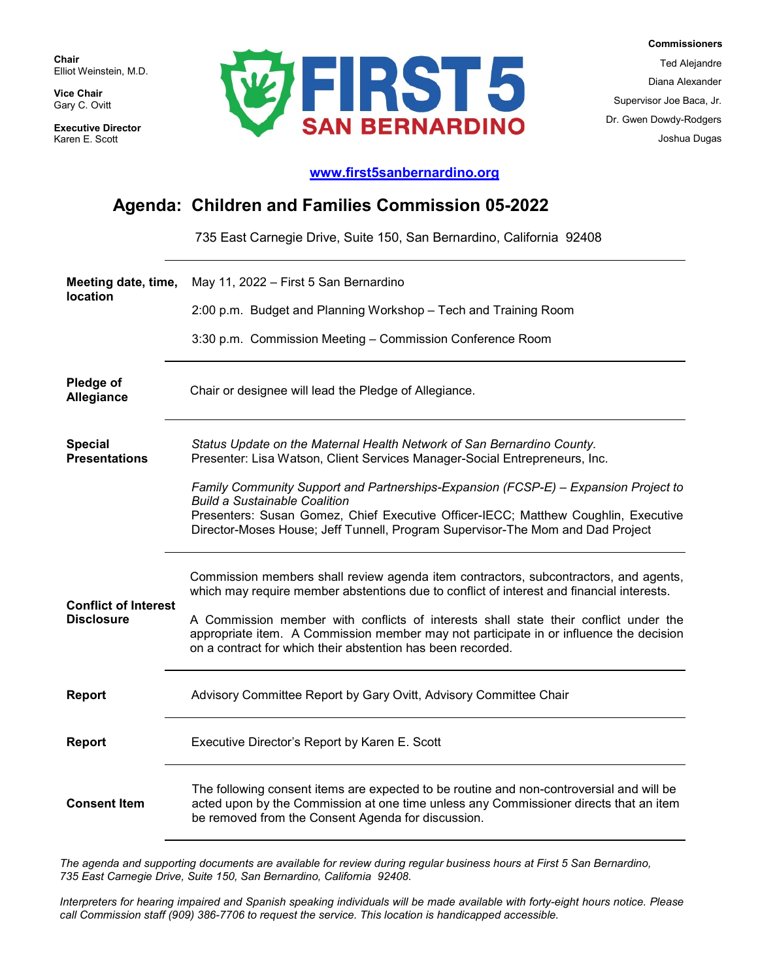**Chair** Elliot Weinstein, M.D.

**Vice Chair** Gary C. Ovitt

**Executive Director**  Karen E. Scott



 **Commissioners** Ted Alejandre Diana Alexander Supervisor Joe Baca, Jr. Dr. Gwen Dowdy-Rodgers Joshua Dugas

## **[www.first5sanbernardino.org](http://www.first5sanbernardino.org/)**

## **Agenda: Children and Families Commission 05-2022**

735 East Carnegie Drive, Suite 150, San Bernardino, California 92408

| Meeting date, time,                    | May 11, 2022 – First 5 San Bernardino                                                                                                                                                                                                                                                               |
|----------------------------------------|-----------------------------------------------------------------------------------------------------------------------------------------------------------------------------------------------------------------------------------------------------------------------------------------------------|
| <b>location</b>                        | 2:00 p.m. Budget and Planning Workshop - Tech and Training Room                                                                                                                                                                                                                                     |
|                                        | 3:30 p.m. Commission Meeting - Commission Conference Room                                                                                                                                                                                                                                           |
| Pledge of<br>Allegiance                | Chair or designee will lead the Pledge of Allegiance.                                                                                                                                                                                                                                               |
| <b>Special</b><br><b>Presentations</b> | Status Update on the Maternal Health Network of San Bernardino County.<br>Presenter: Lisa Watson, Client Services Manager-Social Entrepreneurs, Inc.                                                                                                                                                |
|                                        | Family Community Support and Partnerships-Expansion (FCSP-E) – Expansion Project to<br><b>Build a Sustainable Coalition</b><br>Presenters: Susan Gomez, Chief Executive Officer-IECC; Matthew Coughlin, Executive<br>Director-Moses House; Jeff Tunnell, Program Supervisor-The Mom and Dad Project |
| <b>Conflict of Interest</b>            | Commission members shall review agenda item contractors, subcontractors, and agents,<br>which may require member abstentions due to conflict of interest and financial interests.                                                                                                                   |
| <b>Disclosure</b>                      | A Commission member with conflicts of interests shall state their conflict under the<br>appropriate item. A Commission member may not participate in or influence the decision<br>on a contract for which their abstention has been recorded.                                                       |
| <b>Report</b>                          | Advisory Committee Report by Gary Ovitt, Advisory Committee Chair                                                                                                                                                                                                                                   |
| <b>Report</b>                          | Executive Director's Report by Karen E. Scott                                                                                                                                                                                                                                                       |
| <b>Consent Item</b>                    | The following consent items are expected to be routine and non-controversial and will be<br>acted upon by the Commission at one time unless any Commissioner directs that an item<br>be removed from the Consent Agenda for discussion.                                                             |

*The agenda and supporting documents are available for review during regular business hours at First 5 San Bernardino, 735 East Carnegie Drive, Suite 150, San Bernardino, California 92408.*

*Interpreters for hearing impaired and Spanish speaking individuals will be made available with forty-eight hours notice. Please call Commission staff (909) 386-7706 to request the service. This location is handicapped accessible.*